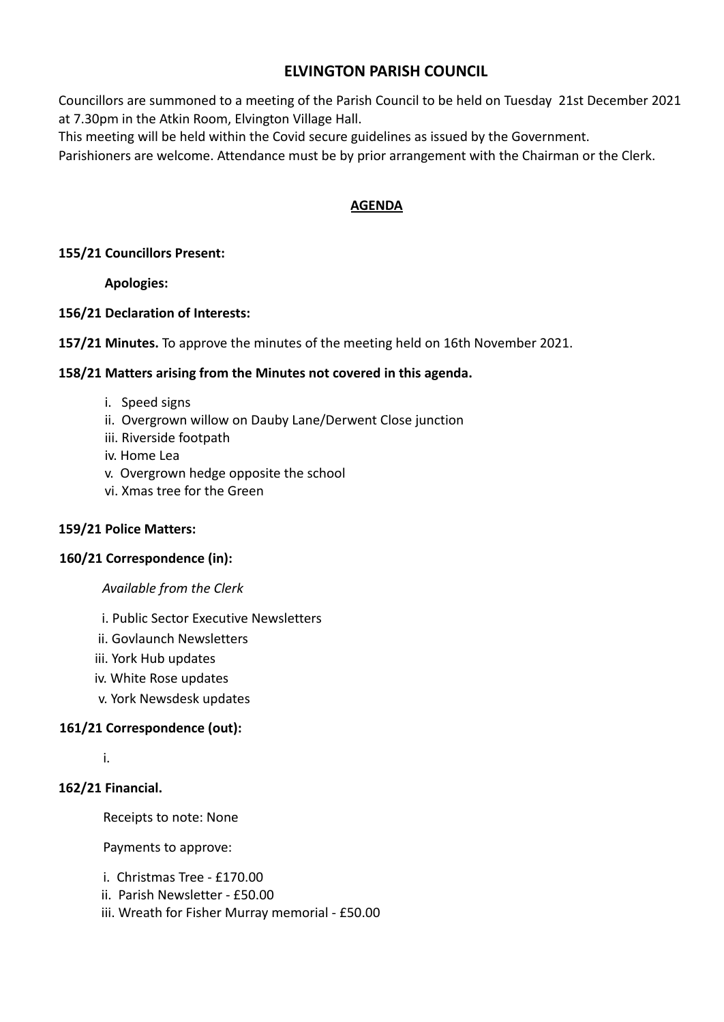# **ELVINGTON PARISH COUNCIL**

Councillors are summoned to a meeting of the Parish Council to be held on Tuesday 21st December 2021 at 7.30pm in the Atkin Room, Elvington Village Hall.

This meeting will be held within the Covid secure guidelines as issued by the Government.

Parishioners are welcome. Attendance must be by prior arrangement with the Chairman or the Clerk.

## **AGENDA**

### **155/21 Councillors Present:**

**Apologies:**

### **156/21 Declaration of Interests:**

**157/21 Minutes.** To approve the minutes of the meeting held on 16th November 2021.

### **158/21 Matters arising from the Minutes not covered in this agenda.**

- i. Speed signs
- ii. Overgrown willow on Dauby Lane/Derwent Close junction
- iii. Riverside footpath
- iv. Home Lea
- v. Overgrown hedge opposite the school
- vi. Xmas tree for the Green

### **159/21 Police Matters:**

### **160/21 Correspondence (in):**

#### *Available from the Clerk*

- i. Public Sector Executive Newsletters
- ii. Govlaunch Newsletters
- iii. York Hub updates
- iv. White Rose updates
- v. York Newsdesk updates

### **161/21 Correspondence (out):**

i.

### **162/21 Financial.**

Receipts to note: None

Payments to approve:

- i. Christmas Tree £170.00
- ii. Parish Newsletter £50.00
- iii. Wreath for Fisher Murray memorial £50.00